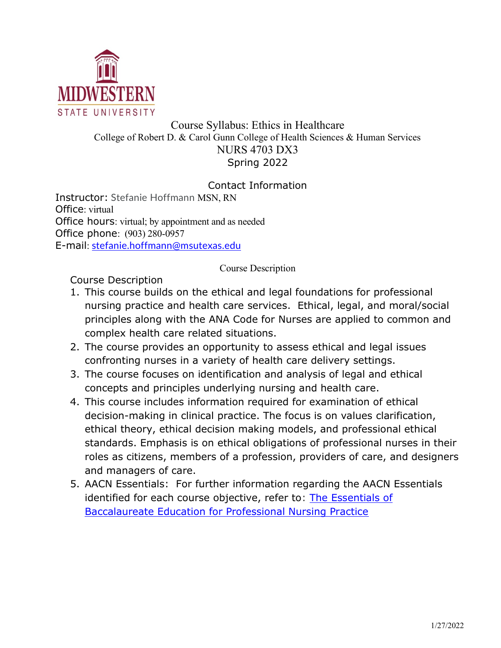

# Course Syllabus: Ethics in Healthcare College of Robert D. & Carol Gunn College of Health Sciences & Human Services NURS 4703 DX3 Spring 2022

# Contact Information

Instructor: Stefanie Hoffmann MSN, RN Office: virtual Office hours: virtual; by appointment and as needed Office phone: (903) 280-0957 E-mail: stefanie.hoffmann@msutexas.edu

Course Description

Course Description

- 1. This course builds on the ethical and legal foundations for professional nursing practice and health care services. Ethical, legal, and moral/social principles along with the ANA Code for Nurses are applied to common and complex health care related situations.
- 2. The course provides an opportunity to assess ethical and legal issues confronting nurses in a variety of health care delivery settings.
- 3. The course focuses on identification and analysis of legal and ethical concepts and principles underlying nursing and health care.
- 4. This course includes information required for examination of ethical decision-making in clinical practice. The focus is on values clarification, ethical theory, ethical decision making models, and professional ethical standards. Emphasis is on ethical obligations of professional nurses in their roles as citizens, members of a profession, providers of care, and designers and managers of care.
- 5. AACN Essentials: For further information regarding the AACN Essentials identified for each course objective, refer to: **The Essentials of** Baccalaureate Education for Professional Nursing Practice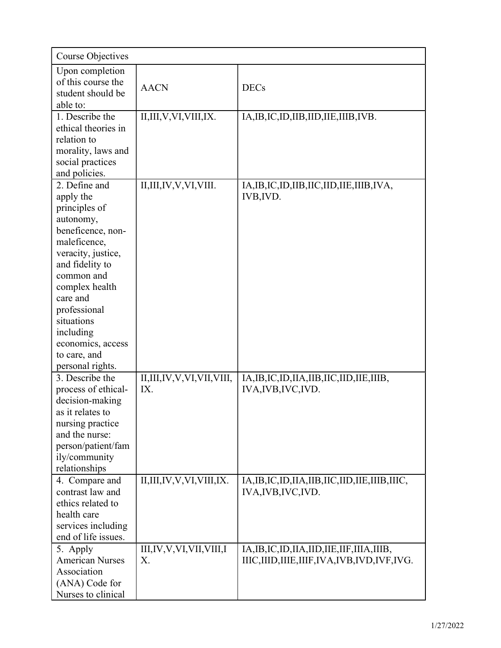| <b>Course Objectives</b>                                                                                                                                                                                                                                                               |                                    |                                                                                                     |
|----------------------------------------------------------------------------------------------------------------------------------------------------------------------------------------------------------------------------------------------------------------------------------------|------------------------------------|-----------------------------------------------------------------------------------------------------|
| Upon completion<br>of this course the<br>student should be<br>able to:                                                                                                                                                                                                                 | <b>AACN</b>                        | <b>DECs</b>                                                                                         |
| 1. Describe the<br>ethical theories in<br>relation to<br>morality, laws and<br>social practices<br>and policies.                                                                                                                                                                       | II, III, V, VI, VIII, IX.          | IA, IB, IC, ID, IIB, IID, IIE, IIIB, IVB.                                                           |
| 2. Define and<br>apply the<br>principles of<br>autonomy,<br>beneficence, non-<br>maleficence,<br>veracity, justice,<br>and fidelity to<br>common and<br>complex health<br>care and<br>professional<br>situations<br>including<br>economics, access<br>to care, and<br>personal rights. | II, III, IV, V, VI, VIII.          | IA, IB, IC, ID, IIB, IIC, IID, IIE, IIIB, IVA,<br>IVB, IVD.                                         |
| 3. Describe the<br>process of ethical-<br>decision-making<br>as it relates to<br>nursing practice<br>and the nurse:<br>person/patient/fam<br>ily/community<br>relationships                                                                                                            | II,III,IV,V,VI,VII,VIII,<br>IX.    | IA, IB, IC, ID, IIA, IIB, IIC, IID, IIE, IIIB,<br>IVA, IVB, IVC, IVD.                               |
| 4. Compare and<br>contrast law and<br>ethics related to<br>health care<br>services including<br>end of life issues.                                                                                                                                                                    | II,III,IV,V,VI,VIII,IX.            | IA, IB, IC, ID, IIA, IIB, IIC, IID, IIE, IIIB, IIIC,<br>IVA, IVB, IVC, IVD.                         |
| 5. Apply<br><b>American Nurses</b><br>Association<br>(ANA) Code for<br>Nurses to clinical                                                                                                                                                                                              | III, IV, V, VI, VII, VIII, I<br>X. | IA, IB, IC, ID, IIA, IID, IIE, IIF, IIIA, IIIB,<br>IIIC, IIID, IIIE, IIIF, IVA, IVB, IVD, IVF, IVG. |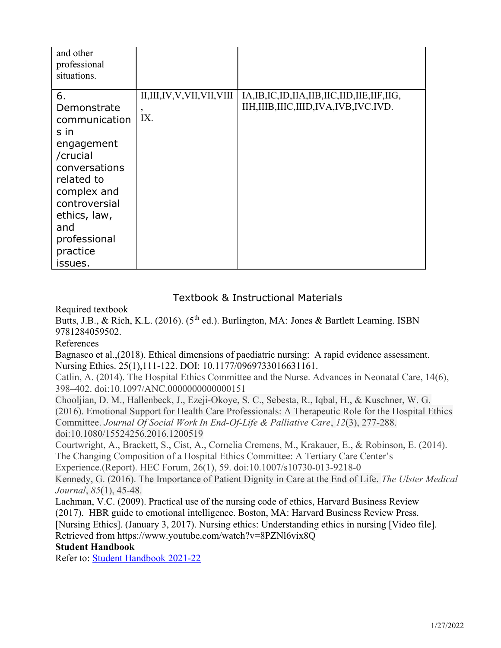| and other<br>professional<br>situations.                                                                                                                                                          |                                            |                                                                                                  |
|---------------------------------------------------------------------------------------------------------------------------------------------------------------------------------------------------|--------------------------------------------|--------------------------------------------------------------------------------------------------|
| 6.<br>Demonstrate<br>communication<br>s in<br>engagement<br>/crucial<br>conversations<br>related to<br>complex and<br>controversial<br>ethics, law,<br>and<br>professional<br>practice<br>issues. | II,III,IV,V,VII,VII,VIII<br>$\cdot$<br>IX. | IA, IB, IC, ID, IIA, IIB, IIC, IID, IIE, IIF, IIG,<br>IIH, IIIB, IIIC, IIID, IVA, IVB, IVC. IVD. |

# Textbook & Instructional Materials

Required textbook

Butts, J.B., & Rich, K.L. (2016). (5<sup>th</sup> ed.). Burlington, MA: Jones & Bartlett Learning. ISBN 9781284059502.

## References

Bagnasco et al.,(2018). Ethical dimensions of paediatric nursing: A rapid evidence assessment. Nursing Ethics. 25(1),111-122. DOI: 10.1177/0969733016631161.

Catlin, A. (2014). The Hospital Ethics Committee and the Nurse. Advances in Neonatal Care, 14(6), 398–402. doi:10.1097/ANC.0000000000000151

Chooljian, D. M., Hallenbeck, J., Ezeji-Okoye, S. C., Sebesta, R., Iqbal, H., & Kuschner, W. G. (2016). Emotional Support for Health Care Professionals: A Therapeutic Role for the Hospital Ethics Committee. Journal Of Social Work In End-Of-Life & Palliative Care, 12(3), 277-288. doi:10.1080/15524256.2016.1200519

Courtwright, A., Brackett, S., Cist, A., Cornelia Cremens, M., Krakauer, E., & Robinson, E. (2014). The Changing Composition of a Hospital Ethics Committee: A Tertiary Care Center's

Experience.(Report). HEC Forum, 26(1), 59. doi:10.1007/s10730-013-9218-0

Kennedy, G. (2016). The Importance of Patient Dignity in Care at the End of Life. The Ulster Medical Journal, 85(1), 45-48.

Lachman, V.C. (2009). Practical use of the nursing code of ethics, Harvard Business Review (2017). HBR guide to emotional intelligence. Boston, MA: Harvard Business Review Press. [Nursing Ethics]. (January 3, 2017). Nursing ethics: Understanding ethics in nursing [Video file]. Retrieved from https://www.youtube.com/watch?v=8PZNl6vix8Q

## Student Handbook

Refer to: Student Handbook 2021-22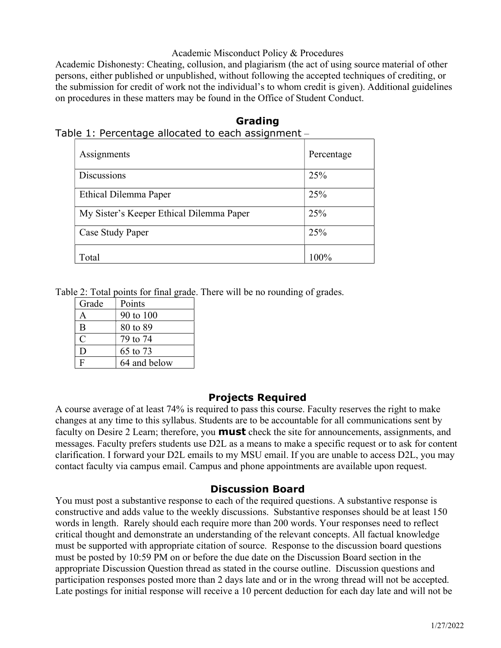### Academic Misconduct Policy & Procedures

Academic Dishonesty: Cheating, collusion, and plagiarism (the act of using source material of other persons, either published or unpublished, without following the accepted techniques of crediting, or the submission for credit of work not the individual's to whom credit is given). Additional guidelines on procedures in these matters may be found in the Office of Student Conduct.

| .c + credited your and catour to cather aborgenite it |            |  |
|-------------------------------------------------------|------------|--|
| Assignments                                           | Percentage |  |
| <b>Discussions</b>                                    | 25%        |  |
| Ethical Dilemma Paper                                 | 25%        |  |
| My Sister's Keeper Ethical Dilemma Paper              | 25%        |  |
| Case Study Paper                                      | 25%        |  |
| Total                                                 | 100%       |  |

# Grading Table 1: Percentage allocated to each assignment –

Table 2: Total points for final grade. There will be no rounding of grades.

| Grade                       | Points       |
|-----------------------------|--------------|
|                             | 90 to 100    |
| B                           | 80 to 89     |
| $\mathcal{C}_{\mathcal{C}}$ | 79 to 74     |
| D                           | 65 to 73     |
| Ė                           | 64 and below |

# Projects Required

A course average of at least 74% is required to pass this course. Faculty reserves the right to make changes at any time to this syllabus. Students are to be accountable for all communications sent by faculty on Desire 2 Learn; therefore, you **must** check the site for announcements, assignments, and messages. Faculty prefers students use D2L as a means to make a specific request or to ask for content clarification. I forward your D2L emails to my MSU email. If you are unable to access D2L, you may contact faculty via campus email. Campus and phone appointments are available upon request.

# Discussion Board

You must post a substantive response to each of the required questions. A substantive response is constructive and adds value to the weekly discussions. Substantive responses should be at least 150 words in length. Rarely should each require more than 200 words. Your responses need to reflect critical thought and demonstrate an understanding of the relevant concepts. All factual knowledge must be supported with appropriate citation of source. Response to the discussion board questions must be posted by 10:59 PM on or before the due date on the Discussion Board section in the appropriate Discussion Question thread as stated in the course outline. Discussion questions and participation responses posted more than 2 days late and or in the wrong thread will not be accepted. Late postings for initial response will receive a 10 percent deduction for each day late and will not be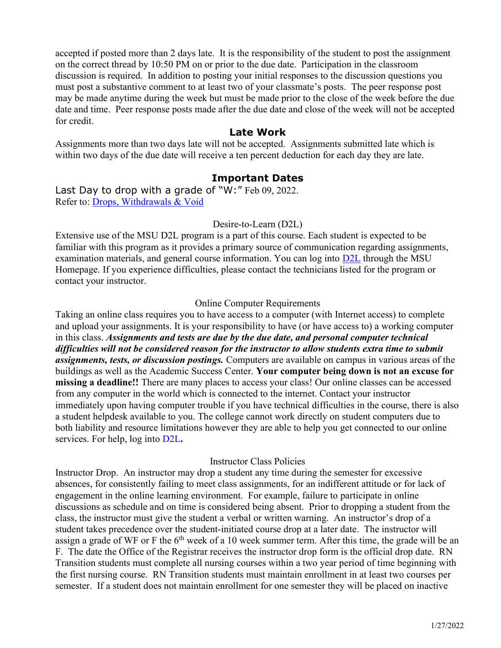accepted if posted more than 2 days late. It is the responsibility of the student to post the assignment on the correct thread by 10:50 PM on or prior to the due date. Participation in the classroom discussion is required. In addition to posting your initial responses to the discussion questions you must post a substantive comment to at least two of your classmate's posts. The peer response post may be made anytime during the week but must be made prior to the close of the week before the due date and time. Peer response posts made after the due date and close of the week will not be accepted for credit.

#### Late Work

Assignments more than two days late will not be accepted. Assignments submitted late which is within two days of the due date will receive a ten percent deduction for each day they are late.

#### Important Dates

Last Day to drop with a grade of "W:" Feb 09, 2022. Refer to: Drops, Withdrawals & Void

#### Desire-to-Learn (D2L)

Extensive use of the MSU D2L program is a part of this course. Each student is expected to be familiar with this program as it provides a primary source of communication regarding assignments, examination materials, and general course information. You can log into D2L through the MSU Homepage. If you experience difficulties, please contact the technicians listed for the program or contact your instructor.

#### Online Computer Requirements

Taking an online class requires you to have access to a computer (with Internet access) to complete and upload your assignments. It is your responsibility to have (or have access to) a working computer in this class. Assignments and tests are due by the due date, and personal computer technical difficulties will not be considered reason for the instructor to allow students extra time to submit assignments, tests, or discussion postings. Computers are available on campus in various areas of the buildings as well as the Academic Success Center. Your computer being down is not an excuse for missing a deadline!! There are many places to access your class! Our online classes can be accessed from any computer in the world which is connected to the internet. Contact your instructor immediately upon having computer trouble if you have technical difficulties in the course, there is also a student helpdesk available to you. The college cannot work directly on student computers due to both liability and resource limitations however they are able to help you get connected to our online services. For help, log into D2L.

#### Instructor Class Policies

Instructor Drop. An instructor may drop a student any time during the semester for excessive absences, for consistently failing to meet class assignments, for an indifferent attitude or for lack of engagement in the online learning environment. For example, failure to participate in online discussions as schedule and on time is considered being absent. Prior to dropping a student from the class, the instructor must give the student a verbal or written warning. An instructor's drop of a student takes precedence over the student-initiated course drop at a later date. The instructor will assign a grade of WF or F the  $6<sup>th</sup>$  week of a 10 week summer term. After this time, the grade will be an F. The date the Office of the Registrar receives the instructor drop form is the official drop date. RN Transition students must complete all nursing courses within a two year period of time beginning with the first nursing course. RN Transition students must maintain enrollment in at least two courses per semester. If a student does not maintain enrollment for one semester they will be placed on inactive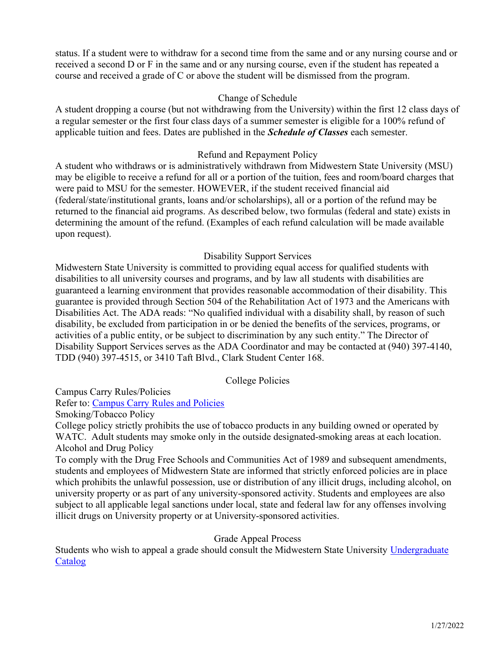status. If a student were to withdraw for a second time from the same and or any nursing course and or received a second D or F in the same and or any nursing course, even if the student has repeated a course and received a grade of C or above the student will be dismissed from the program.

### Change of Schedule

A student dropping a course (but not withdrawing from the University) within the first 12 class days of a regular semester or the first four class days of a summer semester is eligible for a 100% refund of applicable tuition and fees. Dates are published in the *Schedule of Classes* each semester.

### Refund and Repayment Policy

A student who withdraws or is administratively withdrawn from Midwestern State University (MSU) may be eligible to receive a refund for all or a portion of the tuition, fees and room/board charges that were paid to MSU for the semester. HOWEVER, if the student received financial aid (federal/state/institutional grants, loans and/or scholarships), all or a portion of the refund may be returned to the financial aid programs. As described below, two formulas (federal and state) exists in determining the amount of the refund. (Examples of each refund calculation will be made available upon request).

### Disability Support Services

Midwestern State University is committed to providing equal access for qualified students with disabilities to all university courses and programs, and by law all students with disabilities are guaranteed a learning environment that provides reasonable accommodation of their disability. This guarantee is provided through Section 504 of the Rehabilitation Act of 1973 and the Americans with Disabilities Act. The ADA reads: "No qualified individual with a disability shall, by reason of such disability, be excluded from participation in or be denied the benefits of the services, programs, or activities of a public entity, or be subject to discrimination by any such entity." The Director of Disability Support Services serves as the ADA Coordinator and may be contacted at (940) 397-4140, TDD (940) 397-4515, or 3410 Taft Blvd., Clark Student Center 168.

#### College Policies

Campus Carry Rules/Policies

Refer to: Campus Carry Rules and Policies

Smoking/Tobacco Policy

College policy strictly prohibits the use of tobacco products in any building owned or operated by WATC. Adult students may smoke only in the outside designated-smoking areas at each location. Alcohol and Drug Policy

To comply with the Drug Free Schools and Communities Act of 1989 and subsequent amendments, students and employees of Midwestern State are informed that strictly enforced policies are in place which prohibits the unlawful possession, use or distribution of any illicit drugs, including alcohol, on university property or as part of any university-sponsored activity. Students and employees are also subject to all applicable legal sanctions under local, state and federal law for any offenses involving illicit drugs on University property or at University-sponsored activities.

#### Grade Appeal Process

Students who wish to appeal a grade should consult the Midwestern State University Undergraduate Catalog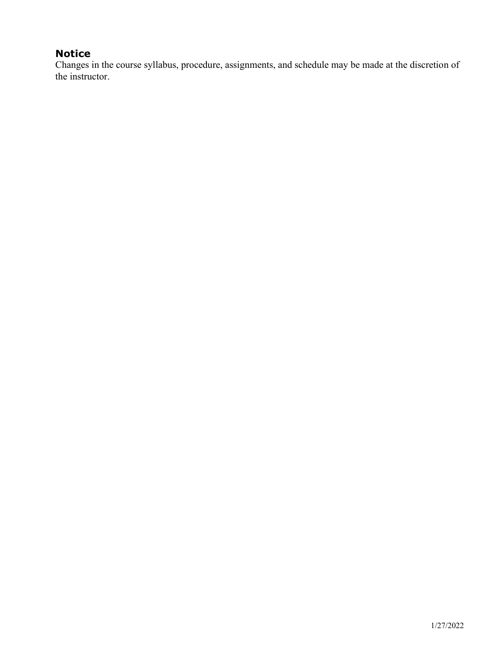# Notice

Changes in the course syllabus, procedure, assignments, and schedule may be made at the discretion of the instructor.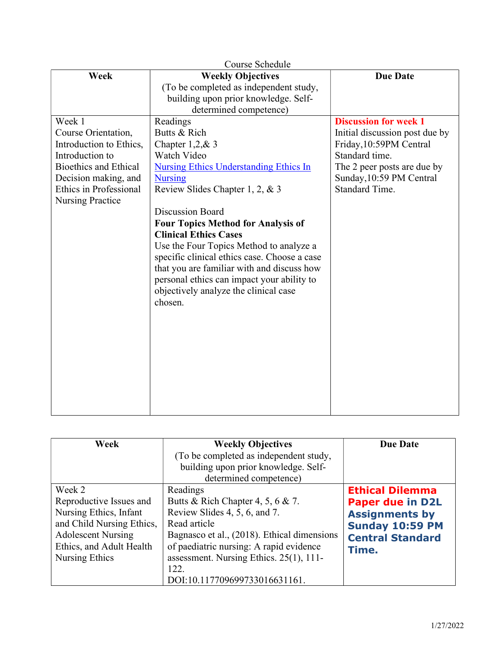| Course Schedule              |                                               |                                |  |
|------------------------------|-----------------------------------------------|--------------------------------|--|
| Week                         | <b>Weekly Objectives</b>                      | <b>Due Date</b>                |  |
|                              | (To be completed as independent study,        |                                |  |
|                              | building upon prior knowledge. Self-          |                                |  |
|                              | determined competence)                        |                                |  |
| Week 1                       | Readings                                      | <b>Discussion for week 1</b>   |  |
| Course Orientation,          | Butts & Rich                                  | Initial discussion post due by |  |
| Introduction to Ethics,      | Chapter $1,2,8,3$                             | Friday, 10:59PM Central        |  |
| Introduction to              | Watch Video                                   | Standard time.                 |  |
| <b>Bioethics and Ethical</b> | <b>Nursing Ethics Understanding Ethics In</b> | The 2 peer posts are due by    |  |
| Decision making, and         | <b>Nursing</b>                                | Sunday, 10:59 PM Central       |  |
| Ethics in Professional       | Review Slides Chapter 1, 2, & 3               | Standard Time.                 |  |
| <b>Nursing Practice</b>      |                                               |                                |  |
|                              | <b>Discussion Board</b>                       |                                |  |
|                              | <b>Four Topics Method for Analysis of</b>     |                                |  |
|                              | <b>Clinical Ethics Cases</b>                  |                                |  |
|                              | Use the Four Topics Method to analyze a       |                                |  |
|                              | specific clinical ethics case. Choose a case  |                                |  |
|                              | that you are familiar with and discuss how    |                                |  |
|                              | personal ethics can impact your ability to    |                                |  |
|                              | objectively analyze the clinical case         |                                |  |
|                              | chosen.                                       |                                |  |
|                              |                                               |                                |  |
|                              |                                               |                                |  |
|                              |                                               |                                |  |
|                              |                                               |                                |  |
|                              |                                               |                                |  |
|                              |                                               |                                |  |
|                              |                                               |                                |  |
|                              |                                               |                                |  |
|                              |                                               |                                |  |
|                              |                                               |                                |  |

| Week                                                                                                                                                                | <b>Weekly Objectives</b><br>(To be completed as independent study,                                                                                                                                                                                                           | <b>Due Date</b>                                                                                                                          |
|---------------------------------------------------------------------------------------------------------------------------------------------------------------------|------------------------------------------------------------------------------------------------------------------------------------------------------------------------------------------------------------------------------------------------------------------------------|------------------------------------------------------------------------------------------------------------------------------------------|
|                                                                                                                                                                     | building upon prior knowledge. Self-<br>determined competence)                                                                                                                                                                                                               |                                                                                                                                          |
| Week 2<br>Reproductive Issues and<br>Nursing Ethics, Infant<br>and Child Nursing Ethics,<br><b>Adolescent Nursing</b><br>Ethics, and Adult Health<br>Nursing Ethics | Readings<br>Butts & Rich Chapter 4, 5, 6 & 7.<br>Review Slides 4, 5, 6, and 7.<br>Read article<br>Bagnasco et al., (2018). Ethical dimensions<br>of paediatric nursing: A rapid evidence<br>assessment. Nursing Ethics. 25(1), 111-<br>122.<br>DOI:10.117709699733016631161. | <b>Ethical Dilemma</b><br><b>Paper due in D2L</b><br><b>Assignments by</b><br><b>Sunday 10:59 PM</b><br><b>Central Standard</b><br>Time. |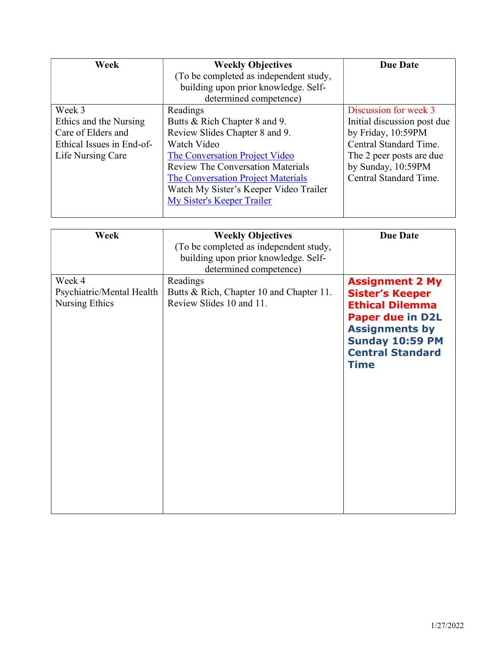| Week                      | <b>Weekly Objectives</b>                 | <b>Due Date</b>             |
|---------------------------|------------------------------------------|-----------------------------|
|                           | (To be completed as independent study,   |                             |
|                           | building upon prior knowledge. Self-     |                             |
|                           | determined competence)                   |                             |
| Week 3                    | Readings                                 | Discussion for week 3       |
| Ethics and the Nursing    | Butts & Rich Chapter 8 and 9.            | Initial discussion post due |
| Care of Elders and        | Review Slides Chapter 8 and 9.           | by Friday, 10:59PM          |
| Ethical Issues in End-of- | Watch Video                              | Central Standard Time.      |
| Life Nursing Care         | The Conversation Project Video           | The 2 peer posts are due    |
|                           | <b>Review The Conversation Materials</b> | by Sunday, 10:59PM          |
|                           | The Conversation Project Materials       | Central Standard Time.      |
|                           | Watch My Sister's Keeper Video Trailer   |                             |
|                           | My Sister's Keeper Trailer               |                             |
|                           |                                          |                             |

| Week                                                  | <b>Weekly Objectives</b><br>(To be completed as independent study,<br>building upon prior knowledge. Self-<br>determined competence) | <b>Due Date</b>                                                                                                                                                                                    |
|-------------------------------------------------------|--------------------------------------------------------------------------------------------------------------------------------------|----------------------------------------------------------------------------------------------------------------------------------------------------------------------------------------------------|
| Week 4<br>Psychiatric/Mental Health<br>Nursing Ethics | Readings<br>Butts & Rich, Chapter 10 and Chapter 11.<br>Review Slides 10 and 11.                                                     | <b>Assignment 2 My</b><br><b>Sister's Keeper</b><br><b>Ethical Dilemma</b><br><b>Paper due in D2L</b><br><b>Assignments by</b><br><b>Sunday 10:59 PM</b><br><b>Central Standard</b><br><b>Time</b> |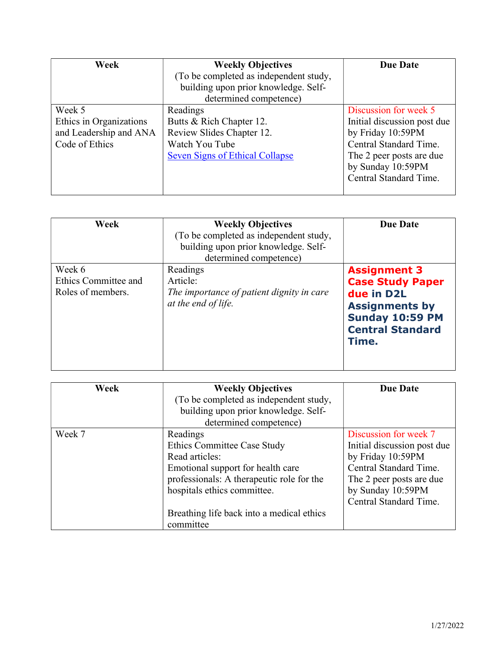| Week                    | <b>Weekly Objectives</b>               | <b>Due Date</b>             |
|-------------------------|----------------------------------------|-----------------------------|
|                         | (To be completed as independent study, |                             |
|                         | building upon prior knowledge. Self-   |                             |
|                         | determined competence)                 |                             |
| Week 5                  | Readings                               | Discussion for week 5       |
| Ethics in Organizations | Butts & Rich Chapter 12.               | Initial discussion post due |
| and Leadership and ANA  | Review Slides Chapter 12.              | by Friday 10:59PM           |
| Code of Ethics          | Watch You Tube                         | Central Standard Time.      |
|                         | <b>Seven Signs of Ethical Collapse</b> | The 2 peer posts are due    |
|                         |                                        | by Sunday 10:59PM           |
|                         |                                        | Central Standard Time.      |
|                         |                                        |                             |

| Week                                                | <b>Weekly Objectives</b><br>(To be completed as independent study,<br>building upon prior knowledge. Self-<br>determined competence) | <b>Due Date</b>                                                                                                                                     |
|-----------------------------------------------------|--------------------------------------------------------------------------------------------------------------------------------------|-----------------------------------------------------------------------------------------------------------------------------------------------------|
| Week 6<br>Ethics Committee and<br>Roles of members. | Readings<br>Article:<br>The importance of patient dignity in care<br>at the end of life.                                             | <b>Assignment 3</b><br><b>Case Study Paper</b><br>due in D2L<br><b>Assignments by</b><br><b>Sunday 10:59 PM</b><br><b>Central Standard</b><br>Time. |

| Week   | <b>Weekly Objectives</b>                  | <b>Due Date</b>             |
|--------|-------------------------------------------|-----------------------------|
|        | (To be completed as independent study,    |                             |
|        | building upon prior knowledge. Self-      |                             |
|        | determined competence)                    |                             |
| Week 7 | Readings                                  | Discussion for week 7       |
|        | Ethics Committee Case Study               | Initial discussion post due |
|        | Read articles:                            | by Friday 10:59PM           |
|        | Emotional support for health care         | Central Standard Time.      |
|        | professionals: A therapeutic role for the | The 2 peer posts are due    |
|        | hospitals ethics committee.               | by Sunday 10:59PM           |
|        |                                           | Central Standard Time.      |
|        | Breathing life back into a medical ethics |                             |
|        | committee                                 |                             |